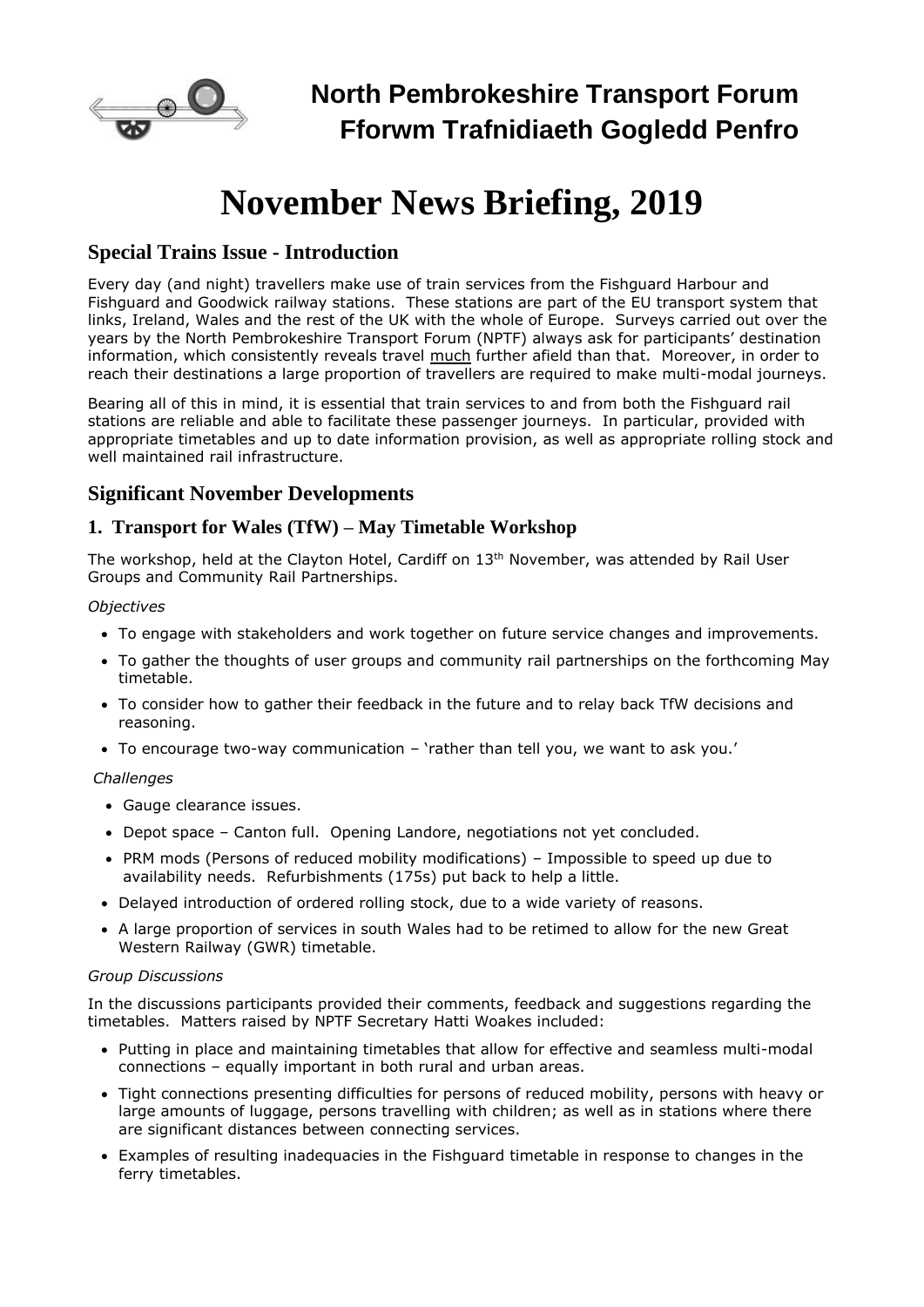

# **November News Briefing, 2019**

## **Special Trains Issue - Introduction**

Every day (and night) travellers make use of train services from the Fishguard Harbour and Fishguard and Goodwick railway stations. These stations are part of the EU transport system that links, Ireland, Wales and the rest of the UK with the whole of Europe. Surveys carried out over the years by the North Pembrokeshire Transport Forum (NPTF) always ask for participants' destination information, which consistently reveals travel much further afield than that. Moreover, in order to reach their destinations a large proportion of travellers are required to make multi-modal journeys.

Bearing all of this in mind, it is essential that train services to and from both the Fishguard rail stations are reliable and able to facilitate these passenger journeys. In particular, provided with appropriate timetables and up to date information provision, as well as appropriate rolling stock and well maintained rail infrastructure.

## **Significant November Developments**

### **1. Transport for Wales (TfW) – May Timetable Workshop**

The workshop, held at the Clayton Hotel, Cardiff on 13<sup>th</sup> November, was attended by Rail User Groups and Community Rail Partnerships.

#### *Objectives*

- To engage with stakeholders and work together on future service changes and improvements.
- To gather the thoughts of user groups and community rail partnerships on the forthcoming May timetable.
- To consider how to gather their feedback in the future and to relay back TfW decisions and reasoning.
- To encourage two-way communication 'rather than tell you, we want to ask you.'

#### *Challenges*

- Gauge clearance issues.
- Depot space Canton full. Opening Landore, negotiations not yet concluded.
- PRM mods (Persons of reduced mobility modifications) Impossible to speed up due to availability needs. Refurbishments (175s) put back to help a little.
- Delayed introduction of ordered rolling stock, due to a wide variety of reasons.
- A large proportion of services in south Wales had to be retimed to allow for the new Great Western Railway (GWR) timetable.

#### *Group Discussions*

In the discussions participants provided their comments, feedback and suggestions regarding the timetables. Matters raised by NPTF Secretary Hatti Woakes included:

- Putting in place and maintaining timetables that allow for effective and seamless multi-modal connections – equally important in both rural and urban areas.
- Tight connections presenting difficulties for persons of reduced mobility, persons with heavy or large amounts of luggage, persons travelling with children; as well as in stations where there are significant distances between connecting services.
- Examples of resulting inadequacies in the Fishguard timetable in response to changes in the ferry timetables.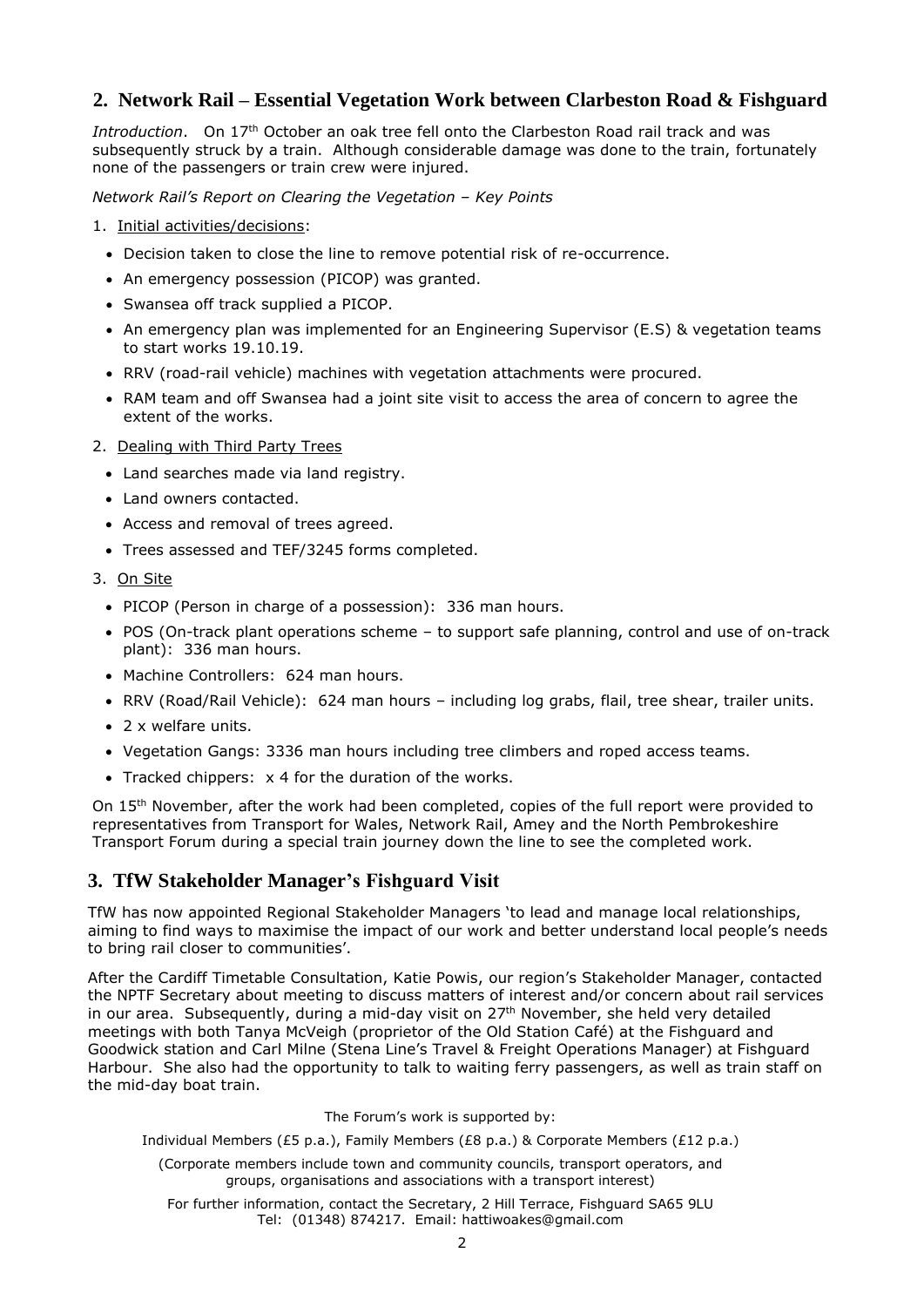## **2. Network Rail – Essential Vegetation Work between Clarbeston Road & Fishguard**

*Introduction*. On 17th October an oak tree fell onto the Clarbeston Road rail track and was subsequently struck by a train. Although considerable damage was done to the train, fortunately none of the passengers or train crew were injured.

*Network Rail's Report on Clearing the Vegetation – Key Points*

- 1. Initial activities/decisions:
	- Decision taken to close the line to remove potential risk of re-occurrence.
	- An emergency possession (PICOP) was granted.
	- Swansea off track supplied a PICOP.
	- An emergency plan was implemented for an Engineering Supervisor (E.S) & vegetation teams to start works 19.10.19.
	- RRV (road-rail vehicle) machines with vegetation attachments were procured.
	- RAM team and off Swansea had a joint site visit to access the area of concern to agree the extent of the works.
- 2. Dealing with Third Party Trees
	- Land searches made via land registry.
	- Land owners contacted.
	- Access and removal of trees agreed.
	- Trees assessed and TEF/3245 forms completed.
- 3. On Site
	- PICOP (Person in charge of a possession): 336 man hours.
	- POS (On-track plant operations scheme to support safe planning, control and use of on-track plant): 336 man hours.
	- Machine Controllers: 624 man hours.
	- RRV (Road/Rail Vehicle): 624 man hours including log grabs, flail, tree shear, trailer units.
	- 2 x welfare units.
	- Vegetation Gangs: 3336 man hours including tree climbers and roped access teams.
	- Tracked chippers: x 4 for the duration of the works.

On 15<sup>th</sup> November, after the work had been completed, copies of the full report were provided to representatives from Transport for Wales, Network Rail, Amey and the North Pembrokeshire Transport Forum during a special train journey down the line to see the completed work.

## **3. TfW Stakeholder Manager's Fishguard Visit**

TfW has now appointed Regional Stakeholder Managers 'to lead and manage local relationships, aiming to find ways to maximise the impact of our work and better understand local people's needs to bring rail closer to communities'.

After the Cardiff Timetable Consultation, Katie Powis, our region's Stakeholder Manager, contacted the NPTF Secretary about meeting to discuss matters of interest and/or concern about rail services in our area. Subsequently, during a mid-day visit on 27<sup>th</sup> November, she held very detailed meetings with both Tanya McVeigh (proprietor of the Old Station Café) at the Fishguard and Goodwick station and Carl Milne (Stena Line's Travel & Freight Operations Manager) at Fishguard Harbour. She also had the opportunity to talk to waiting ferry passengers, as well as train staff on the mid-day boat train.

The Forum's work is supported by:

Individual Members (£5 p.a.), Family Members (£8 p.a.) & Corporate Members (£12 p.a.)

(Corporate members include town and community councils, transport operators, and groups, organisations and associations with a transport interest)

For further information, contact the Secretary, 2 Hill Terrace, Fishguard SA65 9LU Tel: (01348) 874217. Email: hattiwoakes@gmail.com